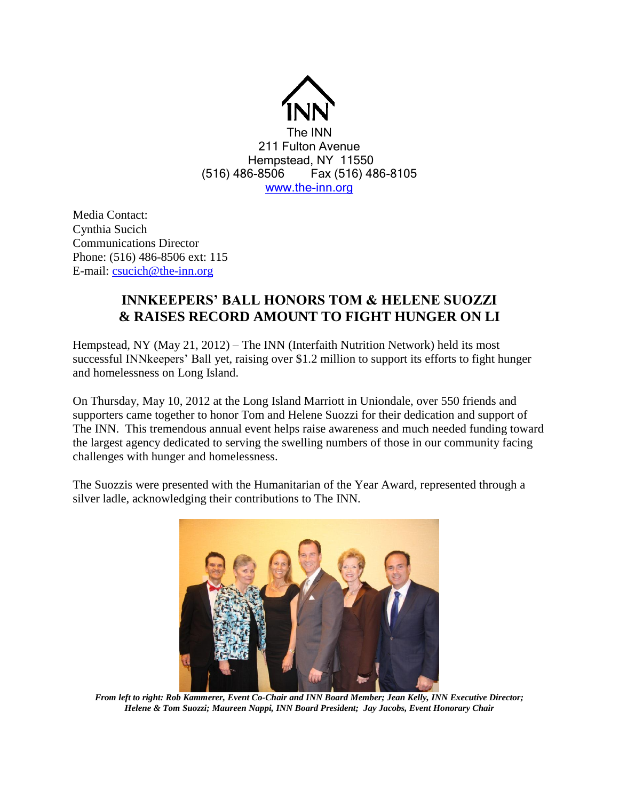

Media Contact: Cynthia Sucich Communications Director Phone: (516) 486-8506 ext: 115 E-mail: [csucich@the-inn.org](mailto:csucich@the-inn.org)

## **INNKEEPERS' BALL HONORS TOM & HELENE SUOZZI & RAISES RECORD AMOUNT TO FIGHT HUNGER ON LI**

Hempstead, NY (May 21, 2012) – The INN (Interfaith Nutrition Network) held its most successful INNkeepers' Ball yet, raising over \$1.2 million to support its efforts to fight hunger and homelessness on Long Island.

On Thursday, May 10, 2012 at the Long Island Marriott in Uniondale, over 550 friends and supporters came together to honor Tom and Helene Suozzi for their dedication and support of The INN. This tremendous annual event helps raise awareness and much needed funding toward the largest agency dedicated to serving the swelling numbers of those in our community facing challenges with hunger and homelessness.

The Suozzis were presented with the Humanitarian of the Year Award, represented through a silver ladle, acknowledging their contributions to The INN.



*From left to right: Rob Kammerer, Event Co-Chair and INN Board Member; Jean Kelly, INN Executive Director; Helene & Tom Suozzi; Maureen Nappi, INN Board President; Jay Jacobs, Event Honorary Chair*